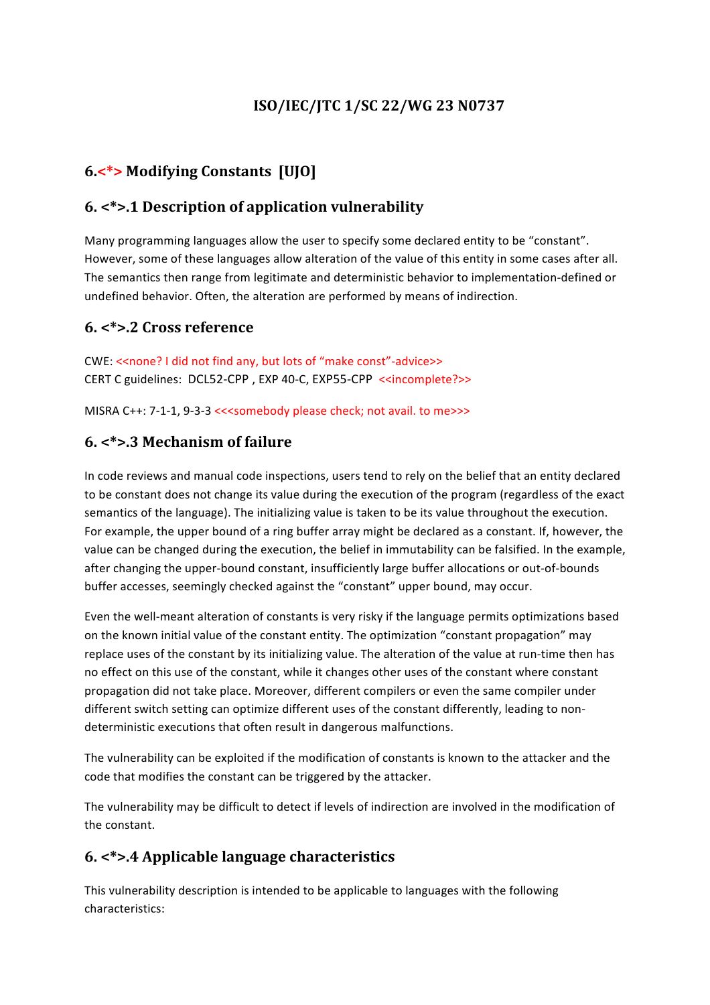# **ISO/IEC/JTC 1/SC 22/WG 23 N0737**

# **6.<\*> Modifying Constants [UJO]**

#### **6. <\*>.1 Description of application vulnerability**

Many programming languages allow the user to specify some declared entity to be "constant". However, some of these languages allow alteration of the value of this entity in some cases after all. The semantics then range from legitimate and deterministic behavior to implementation-defined or undefined behavior. Often, the alteration are performed by means of indirection.

#### **6. <\*>.2 Cross reference**

CWE: << none? I did not find any, but lots of "make const"-advice>> CERT C guidelines: DCL52-CPP, EXP 40-C, EXP55-CPP <<incomplete?>>

MISRA C++: 7-1-1, 9-3-3 <<<somebody please check; not avail. to me>>>

#### **6. <\*>.3 Mechanism of failure**

In code reviews and manual code inspections, users tend to rely on the belief that an entity declared to be constant does not change its value during the execution of the program (regardless of the exact semantics of the language). The initializing value is taken to be its value throughout the execution. For example, the upper bound of a ring buffer array might be declared as a constant. If, however, the value can be changed during the execution, the belief in immutability can be falsified. In the example, after changing the upper-bound constant, insufficiently large buffer allocations or out-of-bounds buffer accesses, seemingly checked against the "constant" upper bound, may occur.

Even the well-meant alteration of constants is very risky if the language permits optimizations based on the known initial value of the constant entity. The optimization "constant propagation" may replace uses of the constant by its initializing value. The alteration of the value at run-time then has no effect on this use of the constant, while it changes other uses of the constant where constant propagation did not take place. Moreover, different compilers or even the same compiler under different switch setting can optimize different uses of the constant differently, leading to nondeterministic executions that often result in dangerous malfunctions.

The vulnerability can be exploited if the modification of constants is known to the attacker and the code that modifies the constant can be triggered by the attacker.

The vulnerability may be difficult to detect if levels of indirection are involved in the modification of the constant.

## **6. <\*>.4 Applicable language characteristics**

This vulnerability description is intended to be applicable to languages with the following characteristics: